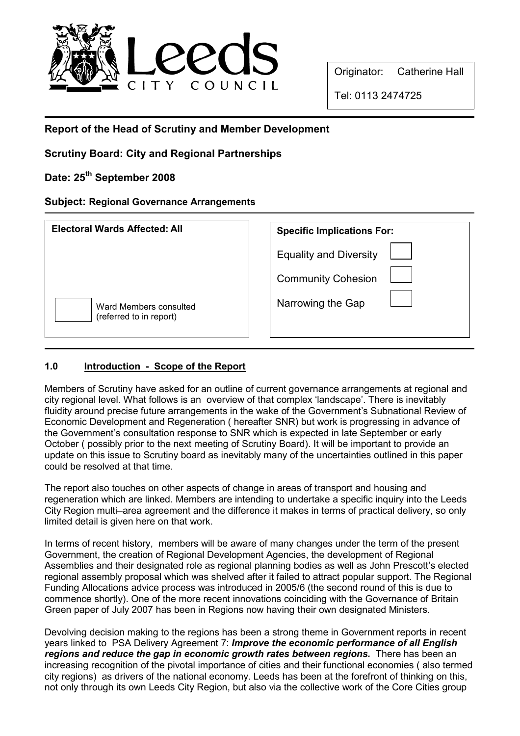

Originator: Catherine Hall

Tel: 0113 2474725

# Report of the Head of Scrutiny and Member Development

Scrutiny Board: City and Regional Partnerships

# Date: 25<sup>th</sup> September 2008

# Subject: Regional Governance Arrangements

| <b>Electoral Wards Affected: All</b>              | <b>Specific Implications For:</b>                          |
|---------------------------------------------------|------------------------------------------------------------|
|                                                   | <b>Equality and Diversity</b><br><b>Community Cohesion</b> |
| Ward Members consulted<br>(referred to in report) | Narrowing the Gap                                          |

# 1.0 Introduction - Scope of the Report

Members of Scrutiny have asked for an outline of current governance arrangements at regional and city regional level. What follows is an overview of that complex 'landscape'. There is inevitably fluidity around precise future arrangements in the wake of the Government's Subnational Review of Economic Development and Regeneration ( hereafter SNR) but work is progressing in advance of the Government's consultation response to SNR which is expected in late September or early October ( possibly prior to the next meeting of Scrutiny Board). It will be important to provide an update on this issue to Scrutiny board as inevitably many of the uncertainties outlined in this paper could be resolved at that time.

The report also touches on other aspects of change in areas of transport and housing and regeneration which are linked. Members are intending to undertake a specific inquiry into the Leeds City Region multi–area agreement and the difference it makes in terms of practical delivery, so only limited detail is given here on that work.

In terms of recent history, members will be aware of many changes under the term of the present Government, the creation of Regional Development Agencies, the development of Regional Assemblies and their designated role as regional planning bodies as well as John Prescott's elected regional assembly proposal which was shelved after it failed to attract popular support. The Regional Funding Allocations advice process was introduced in 2005/6 (the second round of this is due to commence shortly). One of the more recent innovations coinciding with the Governance of Britain Green paper of July 2007 has been in Regions now having their own designated Ministers.

Devolving decision making to the regions has been a strong theme in Government reports in recent years linked to PSA Delivery Agreement 7: Improve the economic performance of all English regions and reduce the gap in economic growth rates between regions. There has been an increasing recognition of the pivotal importance of cities and their functional economies ( also termed city regions) as drivers of the national economy. Leeds has been at the forefront of thinking on this, not only through its own Leeds City Region, but also via the collective work of the Core Cities group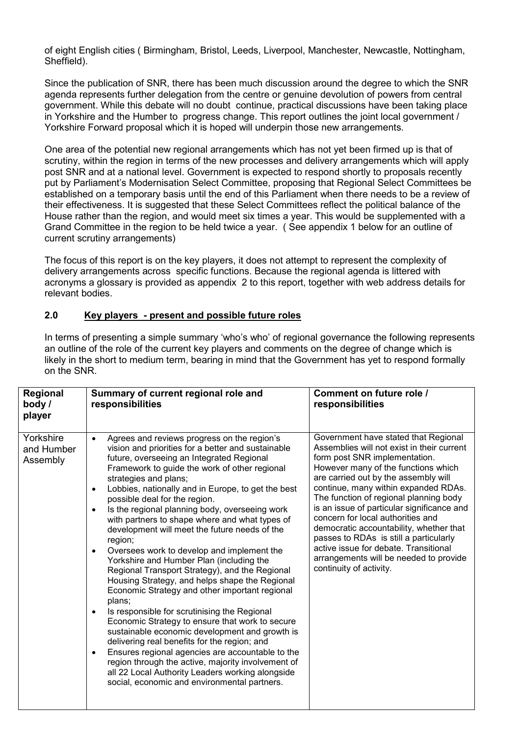of eight English cities ( Birmingham, Bristol, Leeds, Liverpool, Manchester, Newcastle, Nottingham, Sheffield).

Since the publication of SNR, there has been much discussion around the degree to which the SNR agenda represents further delegation from the centre or genuine devolution of powers from central government. While this debate will no doubt continue, practical discussions have been taking place in Yorkshire and the Humber to progress change. This report outlines the joint local government / Yorkshire Forward proposal which it is hoped will underpin those new arrangements.

One area of the potential new regional arrangements which has not yet been firmed up is that of scrutiny, within the region in terms of the new processes and delivery arrangements which will apply post SNR and at a national level. Government is expected to respond shortly to proposals recently put by Parliament's Modernisation Select Committee, proposing that Regional Select Committees be established on a temporary basis until the end of this Parliament when there needs to be a review of their effectiveness. It is suggested that these Select Committees reflect the political balance of the House rather than the region, and would meet six times a year. This would be supplemented with a Grand Committee in the region to be held twice a year. ( See appendix 1 below for an outline of current scrutiny arrangements)

The focus of this report is on the key players, it does not attempt to represent the complexity of delivery arrangements across specific functions. Because the regional agenda is littered with acronyms a glossary is provided as appendix 2 to this report, together with web address details for relevant bodies.

### 2.0 Key players - present and possible future roles

In terms of presenting a simple summary 'who's who' of regional governance the following represents an outline of the role of the current key players and comments on the degree of change which is likely in the short to medium term, bearing in mind that the Government has yet to respond formally on the SNR.

| Regional<br>body /<br>player        | Summary of current regional role and<br>responsibilities                                                                                                                                                                                                                                                                                                                                                                                                                                                                                                                                                                                                                                                                                                                                                                                                                                                                                                                                                                                                                                                                                                                                                                                   | Comment on future role /<br>responsibilities                                                                                                                                                                                                                                                                                                                                                                                                                                                                                                                               |
|-------------------------------------|--------------------------------------------------------------------------------------------------------------------------------------------------------------------------------------------------------------------------------------------------------------------------------------------------------------------------------------------------------------------------------------------------------------------------------------------------------------------------------------------------------------------------------------------------------------------------------------------------------------------------------------------------------------------------------------------------------------------------------------------------------------------------------------------------------------------------------------------------------------------------------------------------------------------------------------------------------------------------------------------------------------------------------------------------------------------------------------------------------------------------------------------------------------------------------------------------------------------------------------------|----------------------------------------------------------------------------------------------------------------------------------------------------------------------------------------------------------------------------------------------------------------------------------------------------------------------------------------------------------------------------------------------------------------------------------------------------------------------------------------------------------------------------------------------------------------------------|
| Yorkshire<br>and Humber<br>Assembly | Agrees and reviews progress on the region's<br>$\bullet$<br>vision and priorities for a better and sustainable<br>future, overseeing an Integrated Regional<br>Framework to guide the work of other regional<br>strategies and plans;<br>Lobbies, nationally and in Europe, to get the best<br>$\bullet$<br>possible deal for the region.<br>Is the regional planning body, overseeing work<br>$\bullet$<br>with partners to shape where and what types of<br>development will meet the future needs of the<br>region;<br>Oversees work to develop and implement the<br>$\bullet$<br>Yorkshire and Humber Plan (including the<br>Regional Transport Strategy), and the Regional<br>Housing Strategy, and helps shape the Regional<br>Economic Strategy and other important regional<br>plans;<br>Is responsible for scrutinising the Regional<br>$\bullet$<br>Economic Strategy to ensure that work to secure<br>sustainable economic development and growth is<br>delivering real benefits for the region; and<br>Ensures regional agencies are accountable to the<br>$\bullet$<br>region through the active, majority involvement of<br>all 22 Local Authority Leaders working alongside<br>social, economic and environmental partners. | Government have stated that Regional<br>Assemblies will not exist in their current<br>form post SNR implementation.<br>However many of the functions which<br>are carried out by the assembly will<br>continue, many within expanded RDAs.<br>The function of regional planning body<br>is an issue of particular significance and<br>concern for local authorities and<br>democratic accountability, whether that<br>passes to RDAs is still a particularly<br>active issue for debate. Transitional<br>arrangements will be needed to provide<br>continuity of activity. |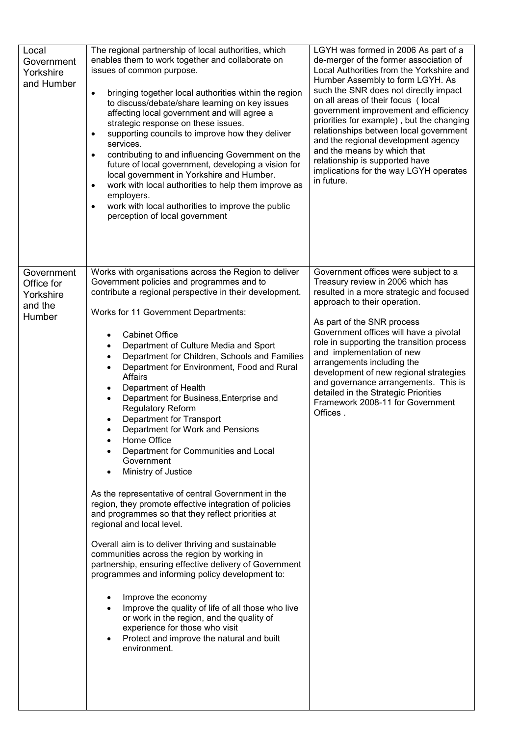| Local<br>Government<br>Yorkshire<br>and Humber             | The regional partnership of local authorities, which<br>enables them to work together and collaborate on<br>issues of common purpose.<br>bringing together local authorities within the region<br>$\bullet$<br>to discuss/debate/share learning on key issues<br>affecting local government and will agree a<br>strategic response on these issues.<br>supporting councils to improve how they deliver<br>$\bullet$<br>services.<br>contributing to and influencing Government on the<br>$\bullet$<br>future of local government, developing a vision for<br>local government in Yorkshire and Humber.<br>work with local authorities to help them improve as<br>$\bullet$<br>employers.<br>work with local authorities to improve the public<br>$\bullet$<br>perception of local government                                                                                                                                                                                                                                                                                                                                                                                                                                                                                                    | LGYH was formed in 2006 As part of a<br>de-merger of the former association of<br>Local Authorities from the Yorkshire and<br>Humber Assembly to form LGYH. As<br>such the SNR does not directly impact<br>on all areas of their focus (local<br>government improvement and efficiency<br>priorities for example), but the changing<br>relationships between local government<br>and the regional development agency<br>and the means by which that<br>relationship is supported have<br>implications for the way LGYH operates<br>in future. |
|------------------------------------------------------------|-------------------------------------------------------------------------------------------------------------------------------------------------------------------------------------------------------------------------------------------------------------------------------------------------------------------------------------------------------------------------------------------------------------------------------------------------------------------------------------------------------------------------------------------------------------------------------------------------------------------------------------------------------------------------------------------------------------------------------------------------------------------------------------------------------------------------------------------------------------------------------------------------------------------------------------------------------------------------------------------------------------------------------------------------------------------------------------------------------------------------------------------------------------------------------------------------------------------------------------------------------------------------------------------------|-----------------------------------------------------------------------------------------------------------------------------------------------------------------------------------------------------------------------------------------------------------------------------------------------------------------------------------------------------------------------------------------------------------------------------------------------------------------------------------------------------------------------------------------------|
| Government<br>Office for<br>Yorkshire<br>and the<br>Humber | Works with organisations across the Region to deliver<br>Government policies and programmes and to<br>contribute a regional perspective in their development.<br>Works for 11 Government Departments:<br><b>Cabinet Office</b><br>Department of Culture Media and Sport<br>Department for Children, Schools and Families<br>Department for Environment, Food and Rural<br><b>Affairs</b><br>Department of Health<br>Department for Business, Enterprise and<br><b>Regulatory Reform</b><br>Department for Transport<br>Department for Work and Pensions<br>Home Office<br>Department for Communities and Local<br>Government<br>Ministry of Justice<br>As the representative of central Government in the<br>region, they promote effective integration of policies<br>and programmes so that they reflect priorities at<br>regional and local level.<br>Overall aim is to deliver thriving and sustainable<br>communities across the region by working in<br>partnership, ensuring effective delivery of Government<br>programmes and informing policy development to:<br>Improve the economy<br>Improve the quality of life of all those who live<br>or work in the region, and the quality of<br>experience for those who visit<br>Protect and improve the natural and built<br>environment. | Government offices were subject to a<br>Treasury review in 2006 which has<br>resulted in a more strategic and focused<br>approach to their operation.<br>As part of the SNR process<br>Government offices will have a pivotal<br>role in supporting the transition process<br>and implementation of new<br>arrangements including the<br>development of new regional strategies<br>and governance arrangements. This is<br>detailed in the Strategic Priorities<br>Framework 2008-11 for Government<br>Offices.                               |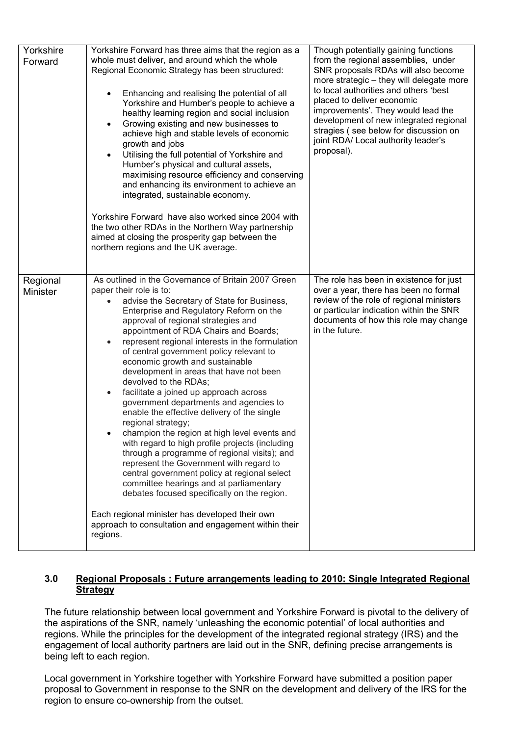| Yorkshire<br>Forward        | Yorkshire Forward has three aims that the region as a<br>whole must deliver, and around which the whole<br>Regional Economic Strategy has been structured:<br>Enhancing and realising the potential of all<br>Yorkshire and Humber's people to achieve a<br>healthy learning region and social inclusion<br>Growing existing and new businesses to<br>$\bullet$<br>achieve high and stable levels of economic<br>growth and jobs<br>Utilising the full potential of Yorkshire and<br>$\bullet$<br>Humber's physical and cultural assets,<br>maximising resource efficiency and conserving<br>and enhancing its environment to achieve an<br>integrated, sustainable economy.<br>Yorkshire Forward have also worked since 2004 with<br>the two other RDAs in the Northern Way partnership<br>aimed at closing the prosperity gap between the<br>northern regions and the UK average.                                                                                                                                                                                                                | Though potentially gaining functions<br>from the regional assemblies, under<br>SNR proposals RDAs will also become<br>more strategic - they will delegate more<br>to local authorities and others 'best<br>placed to deliver economic<br>improvements'. They would lead the<br>development of new integrated regional<br>stragies (see below for discussion on<br>joint RDA/ Local authority leader's<br>proposal). |
|-----------------------------|----------------------------------------------------------------------------------------------------------------------------------------------------------------------------------------------------------------------------------------------------------------------------------------------------------------------------------------------------------------------------------------------------------------------------------------------------------------------------------------------------------------------------------------------------------------------------------------------------------------------------------------------------------------------------------------------------------------------------------------------------------------------------------------------------------------------------------------------------------------------------------------------------------------------------------------------------------------------------------------------------------------------------------------------------------------------------------------------------|---------------------------------------------------------------------------------------------------------------------------------------------------------------------------------------------------------------------------------------------------------------------------------------------------------------------------------------------------------------------------------------------------------------------|
| Regional<br><b>Minister</b> | As outlined in the Governance of Britain 2007 Green<br>paper their role is to:<br>advise the Secretary of State for Business,<br>Enterprise and Regulatory Reform on the<br>approval of regional strategies and<br>appointment of RDA Chairs and Boards;<br>represent regional interests in the formulation<br>$\bullet$<br>of central government policy relevant to<br>economic growth and sustainable<br>development in areas that have not been<br>devolved to the RDAs;<br>facilitate a joined up approach across<br>government departments and agencies to<br>enable the effective delivery of the single<br>regional strategy;<br>champion the region at high level events and<br>with regard to high profile projects (including<br>through a programme of regional visits); and<br>represent the Government with regard to<br>central government policy at regional select<br>committee hearings and at parliamentary<br>debates focused specifically on the region.<br>Each regional minister has developed their own<br>approach to consultation and engagement within their<br>regions. | The role has been in existence for just<br>over a year, there has been no formal<br>review of the role of regional ministers<br>or particular indication within the SNR<br>documents of how this role may change<br>in the future.                                                                                                                                                                                  |

### 3.0 Regional Proposals : Future arrangements leading to 2010: Single Integrated Regional **Strategy**

The future relationship between local government and Yorkshire Forward is pivotal to the delivery of the aspirations of the SNR, namely 'unleashing the economic potential' of local authorities and regions. While the principles for the development of the integrated regional strategy (IRS) and the engagement of local authority partners are laid out in the SNR, defining precise arrangements is being left to each region.

Local government in Yorkshire together with Yorkshire Forward have submitted a position paper proposal to Government in response to the SNR on the development and delivery of the IRS for the region to ensure co-ownership from the outset.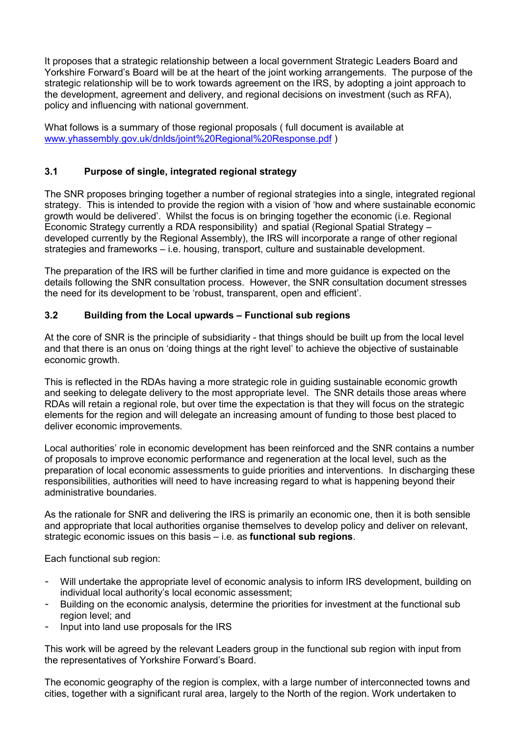It proposes that a strategic relationship between a local government Strategic Leaders Board and Yorkshire Forward's Board will be at the heart of the joint working arrangements. The purpose of the strategic relationship will be to work towards agreement on the IRS, by adopting a joint approach to the development, agreement and delivery, and regional decisions on investment (such as RFA), policy and influencing with national government.

What follows is a summary of those regional proposals ( full document is available at www.yhassembly.gov.uk/dnlds/joint%20Regional%20Response.pdf )

# 3.1 Purpose of single, integrated regional strategy

The SNR proposes bringing together a number of regional strategies into a single, integrated regional strategy. This is intended to provide the region with a vision of 'how and where sustainable economic growth would be delivered'. Whilst the focus is on bringing together the economic (i.e. Regional Economic Strategy currently a RDA responsibility) and spatial (Regional Spatial Strategy – developed currently by the Regional Assembly), the IRS will incorporate a range of other regional strategies and frameworks – i.e. housing, transport, culture and sustainable development.

The preparation of the IRS will be further clarified in time and more guidance is expected on the details following the SNR consultation process. However, the SNR consultation document stresses the need for its development to be 'robust, transparent, open and efficient'.

### 3.2 Building from the Local upwards – Functional sub regions

At the core of SNR is the principle of subsidiarity - that things should be built up from the local level and that there is an onus on 'doing things at the right level' to achieve the objective of sustainable economic growth.

This is reflected in the RDAs having a more strategic role in guiding sustainable economic growth and seeking to delegate delivery to the most appropriate level. The SNR details those areas where RDAs will retain a regional role, but over time the expectation is that they will focus on the strategic elements for the region and will delegate an increasing amount of funding to those best placed to deliver economic improvements.

Local authorities' role in economic development has been reinforced and the SNR contains a number of proposals to improve economic performance and regeneration at the local level, such as the preparation of local economic assessments to guide priorities and interventions. In discharging these responsibilities, authorities will need to have increasing regard to what is happening beyond their administrative boundaries.

As the rationale for SNR and delivering the IRS is primarily an economic one, then it is both sensible and appropriate that local authorities organise themselves to develop policy and deliver on relevant, strategic economic issues on this basis – i.e. as functional sub regions.

Each functional sub region:

- Will undertake the appropriate level of economic analysis to inform IRS development, building on individual local authority's local economic assessment;
- Building on the economic analysis, determine the priorities for investment at the functional sub region level; and
- Input into land use proposals for the IRS

This work will be agreed by the relevant Leaders group in the functional sub region with input from the representatives of Yorkshire Forward's Board.

The economic geography of the region is complex, with a large number of interconnected towns and cities, together with a significant rural area, largely to the North of the region. Work undertaken to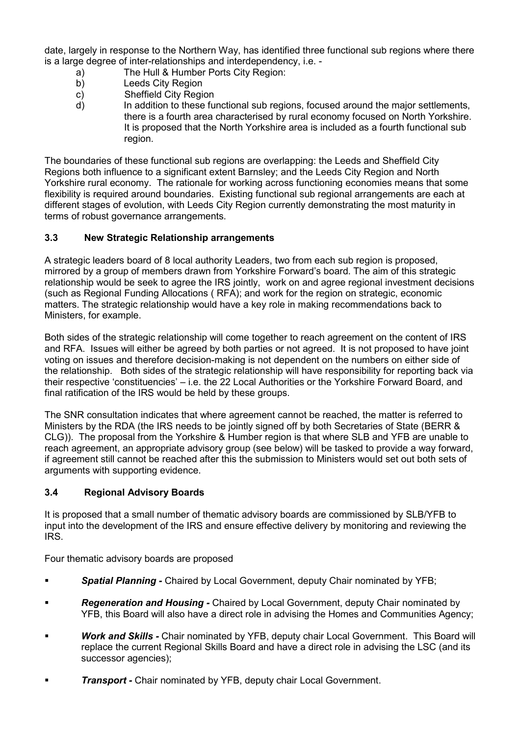date, largely in response to the Northern Way, has identified three functional sub regions where there is a large degree of inter-relationships and interdependency, i.e. -

- a) The Hull & Humber Ports City Region:
	- b) Leeds City Region
	- c) Sheffield City Region
	- d) In addition to these functional sub regions, focused around the major settlements, there is a fourth area characterised by rural economy focused on North Yorkshire. It is proposed that the North Yorkshire area is included as a fourth functional sub region.

The boundaries of these functional sub regions are overlapping: the Leeds and Sheffield City Regions both influence to a significant extent Barnsley; and the Leeds City Region and North Yorkshire rural economy. The rationale for working across functioning economies means that some flexibility is required around boundaries. Existing functional sub regional arrangements are each at different stages of evolution, with Leeds City Region currently demonstrating the most maturity in terms of robust governance arrangements.

# 3.3 New Strategic Relationship arrangements

A strategic leaders board of 8 local authority Leaders, two from each sub region is proposed, mirrored by a group of members drawn from Yorkshire Forward's board. The aim of this strategic relationship would be seek to agree the IRS jointly, work on and agree regional investment decisions (such as Regional Funding Allocations ( RFA); and work for the region on strategic, economic matters. The strategic relationship would have a key role in making recommendations back to Ministers, for example.

Both sides of the strategic relationship will come together to reach agreement on the content of IRS and RFA. Issues will either be agreed by both parties or not agreed. It is not proposed to have joint voting on issues and therefore decision-making is not dependent on the numbers on either side of the relationship. Both sides of the strategic relationship will have responsibility for reporting back via their respective 'constituencies' – i.e. the 22 Local Authorities or the Yorkshire Forward Board, and final ratification of the IRS would be held by these groups.

The SNR consultation indicates that where agreement cannot be reached, the matter is referred to Ministers by the RDA (the IRS needs to be jointly signed off by both Secretaries of State (BERR & CLG)). The proposal from the Yorkshire & Humber region is that where SLB and YFB are unable to reach agreement, an appropriate advisory group (see below) will be tasked to provide a way forward, if agreement still cannot be reached after this the submission to Ministers would set out both sets of arguments with supporting evidence.

# 3.4 Regional Advisory Boards

It is proposed that a small number of thematic advisory boards are commissioned by SLB/YFB to input into the development of the IRS and ensure effective delivery by monitoring and reviewing the IRS.

Four thematic advisory boards are proposed

- **Spatial Planning Chaired by Local Government, deputy Chair nominated by YFB:**
- **Regeneration and Housing Chaired by Local Government, deputy Chair nominated by** YFB, this Board will also have a direct role in advising the Homes and Communities Agency;
- Work and Skills Chair nominated by YFB, deputy chair Local Government. This Board will replace the current Regional Skills Board and have a direct role in advising the LSC (and its successor agencies);
- **Transport Chair nominated by YFB, deputy chair Local Government.**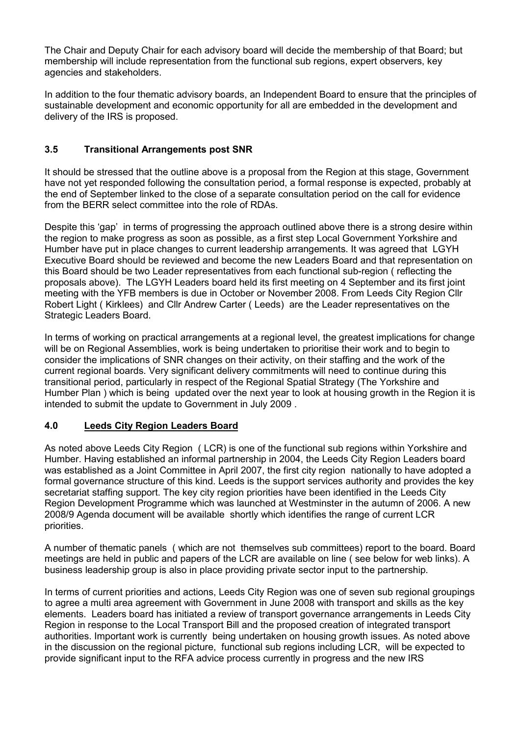The Chair and Deputy Chair for each advisory board will decide the membership of that Board; but membership will include representation from the functional sub regions, expert observers, key agencies and stakeholders.

In addition to the four thematic advisory boards, an Independent Board to ensure that the principles of sustainable development and economic opportunity for all are embedded in the development and delivery of the IRS is proposed.

# 3.5 Transitional Arrangements post SNR

It should be stressed that the outline above is a proposal from the Region at this stage, Government have not yet responded following the consultation period, a formal response is expected, probably at the end of September linked to the close of a separate consultation period on the call for evidence from the BERR select committee into the role of RDAs.

Despite this 'gap' in terms of progressing the approach outlined above there is a strong desire within the region to make progress as soon as possible, as a first step Local Government Yorkshire and Humber have put in place changes to current leadership arrangements. It was agreed that LGYH Executive Board should be reviewed and become the new Leaders Board and that representation on this Board should be two Leader representatives from each functional sub-region ( reflecting the proposals above). The LGYH Leaders board held its first meeting on 4 September and its first joint meeting with the YFB members is due in October or November 2008. From Leeds City Region Cllr Robert Light ( Kirklees) and Cllr Andrew Carter ( Leeds) are the Leader representatives on the Strategic Leaders Board.

In terms of working on practical arrangements at a regional level, the greatest implications for change will be on Regional Assemblies, work is being undertaken to prioritise their work and to begin to consider the implications of SNR changes on their activity, on their staffing and the work of the current regional boards. Very significant delivery commitments will need to continue during this transitional period, particularly in respect of the Regional Spatial Strategy (The Yorkshire and Humber Plan ) which is being updated over the next year to look at housing growth in the Region it is intended to submit the update to Government in July 2009 .

# 4.0 Leeds City Region Leaders Board

As noted above Leeds City Region ( LCR) is one of the functional sub regions within Yorkshire and Humber. Having established an informal partnership in 2004, the Leeds City Region Leaders board was established as a Joint Committee in April 2007, the first city region nationally to have adopted a formal governance structure of this kind. Leeds is the support services authority and provides the key secretariat staffing support. The key city region priorities have been identified in the Leeds City Region Development Programme which was launched at Westminster in the autumn of 2006. A new 2008/9 Agenda document will be available shortly which identifies the range of current LCR priorities.

A number of thematic panels ( which are not themselves sub committees) report to the board. Board meetings are held in public and papers of the LCR are available on line ( see below for web links). A business leadership group is also in place providing private sector input to the partnership.

In terms of current priorities and actions, Leeds City Region was one of seven sub regional groupings to agree a multi area agreement with Government in June 2008 with transport and skills as the key elements. Leaders board has initiated a review of transport governance arrangements in Leeds City Region in response to the Local Transport Bill and the proposed creation of integrated transport authorities. Important work is currently being undertaken on housing growth issues. As noted above in the discussion on the regional picture, functional sub regions including LCR, will be expected to provide significant input to the RFA advice process currently in progress and the new IRS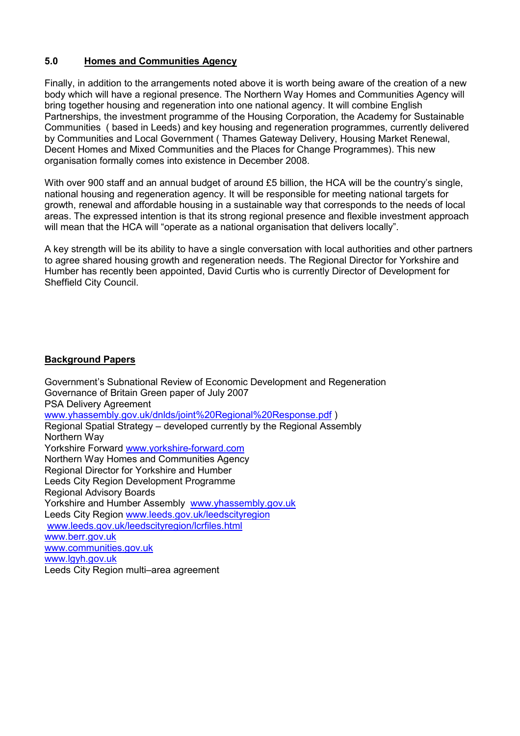# 5.0 Homes and Communities Agency

Finally, in addition to the arrangements noted above it is worth being aware of the creation of a new body which will have a regional presence. The Northern Way Homes and Communities Agency will bring together housing and regeneration into one national agency. It will combine English Partnerships, the investment programme of the Housing Corporation, the Academy for Sustainable Communities ( based in Leeds) and key housing and regeneration programmes, currently delivered by Communities and Local Government ( Thames Gateway Delivery, Housing Market Renewal, Decent Homes and Mixed Communities and the Places for Change Programmes). This new organisation formally comes into existence in December 2008.

With over 900 staff and an annual budget of around £5 billion, the HCA will be the country's single, national housing and regeneration agency. It will be responsible for meeting national targets for growth, renewal and affordable housing in a sustainable way that corresponds to the needs of local areas. The expressed intention is that its strong regional presence and flexible investment approach will mean that the HCA will "operate as a national organisation that delivers locally".

A key strength will be its ability to have a single conversation with local authorities and other partners to agree shared housing growth and regeneration needs. The Regional Director for Yorkshire and Humber has recently been appointed, David Curtis who is currently Director of Development for Sheffield City Council.

#### Background Papers

Government's Subnational Review of Economic Development and Regeneration Governance of Britain Green paper of July 2007 PSA Delivery Agreement www.yhassembly.gov.uk/dnlds/joint%20Regional%20Response.pdf ) Regional Spatial Strategy – developed currently by the Regional Assembly Northern Way Yorkshire Forward www.yorkshire-forward.com Northern Way Homes and Communities Agency Regional Director for Yorkshire and Humber Leeds City Region Development Programme Regional Advisory Boards Yorkshire and Humber Assembly www.yhassembly.gov.uk Leeds City Region www.leeds.gov.uk/leedscityregion www.leeds.gov.uk/leedscityregion/lcrfiles.html www.berr.gov.uk www.communities.gov.uk www.lgyh.gov.uk Leeds City Region multi–area agreement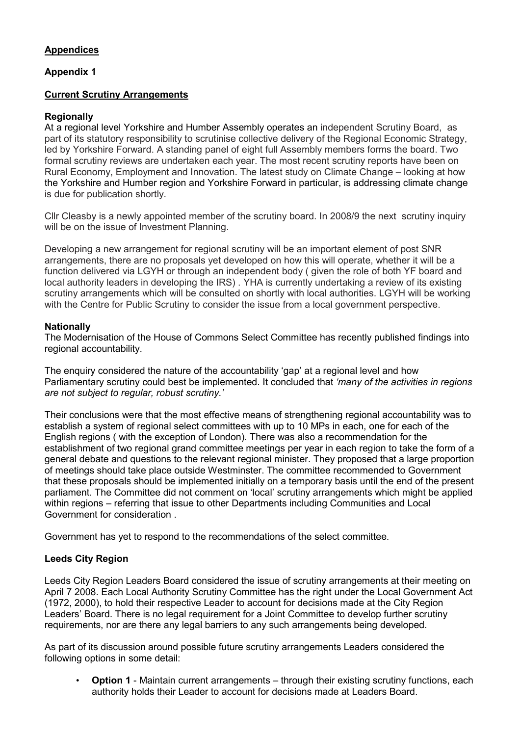# Appendices

### Appendix 1

### Current Scrutiny Arrangements

### **Regionally**

At a regional level Yorkshire and Humber Assembly operates an independent Scrutiny Board, as part of its statutory responsibility to scrutinise collective delivery of the Regional Economic Strategy, led by Yorkshire Forward. A standing panel of eight full Assembly members forms the board. Two formal scrutiny reviews are undertaken each year. The most recent scrutiny reports have been on Rural Economy, Employment and Innovation. The latest study on Climate Change – looking at how the Yorkshire and Humber region and Yorkshire Forward in particular, is addressing climate change is due for publication shortly.

Cllr Cleasby is a newly appointed member of the scrutiny board. In 2008/9 the next scrutiny inquiry will be on the issue of Investment Planning.

Developing a new arrangement for regional scrutiny will be an important element of post SNR arrangements, there are no proposals yet developed on how this will operate, whether it will be a function delivered via LGYH or through an independent body ( given the role of both YF board and local authority leaders in developing the IRS) . YHA is currently undertaking a review of its existing scrutiny arrangements which will be consulted on shortly with local authorities. LGYH will be working with the Centre for Public Scrutiny to consider the issue from a local government perspective.

#### **Nationally**

The Modernisation of the House of Commons Select Committee has recently published findings into regional accountability.

The enquiry considered the nature of the accountability 'gap' at a regional level and how Parliamentary scrutiny could best be implemented. It concluded that 'many of the activities in regions are not subject to regular, robust scrutiny.'

Their conclusions were that the most effective means of strengthening regional accountability was to establish a system of regional select committees with up to 10 MPs in each, one for each of the English regions ( with the exception of London). There was also a recommendation for the establishment of two regional grand committee meetings per year in each region to take the form of a general debate and questions to the relevant regional minister. They proposed that a large proportion of meetings should take place outside Westminster. The committee recommended to Government that these proposals should be implemented initially on a temporary basis until the end of the present parliament. The Committee did not comment on 'local' scrutiny arrangements which might be applied within regions – referring that issue to other Departments including Communities and Local Government for consideration .

Government has yet to respond to the recommendations of the select committee.

# Leeds City Region

Leeds City Region Leaders Board considered the issue of scrutiny arrangements at their meeting on April 7 2008. Each Local Authority Scrutiny Committee has the right under the Local Government Act (1972, 2000), to hold their respective Leader to account for decisions made at the City Region Leaders' Board. There is no legal requirement for a Joint Committee to develop further scrutiny requirements, nor are there any legal barriers to any such arrangements being developed.

As part of its discussion around possible future scrutiny arrangements Leaders considered the following options in some detail:

• Option 1 - Maintain current arrangements – through their existing scrutiny functions, each authority holds their Leader to account for decisions made at Leaders Board.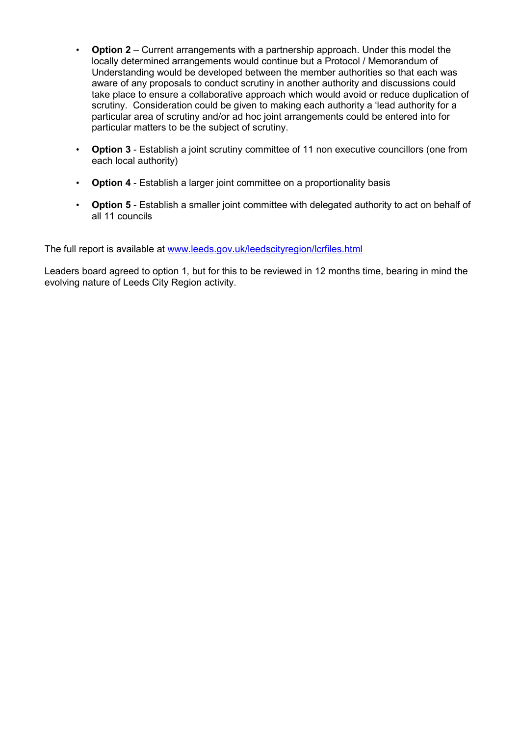- Option 2 Current arrangements with a partnership approach. Under this model the locally determined arrangements would continue but a Protocol / Memorandum of Understanding would be developed between the member authorities so that each was aware of any proposals to conduct scrutiny in another authority and discussions could take place to ensure a collaborative approach which would avoid or reduce duplication of scrutiny. Consideration could be given to making each authority a 'lead authority for a particular area of scrutiny and/or ad hoc joint arrangements could be entered into for particular matters to be the subject of scrutiny.
- Option 3 Establish a joint scrutiny committee of 11 non executive councillors (one from each local authority)
- Option 4 Establish a larger joint committee on a proportionality basis
- Option 5 Establish a smaller joint committee with delegated authority to act on behalf of all 11 councils

The full report is available at www.leeds.gov.uk/leedscityregion/lcrfiles.html

Leaders board agreed to option 1, but for this to be reviewed in 12 months time, bearing in mind the evolving nature of Leeds City Region activity.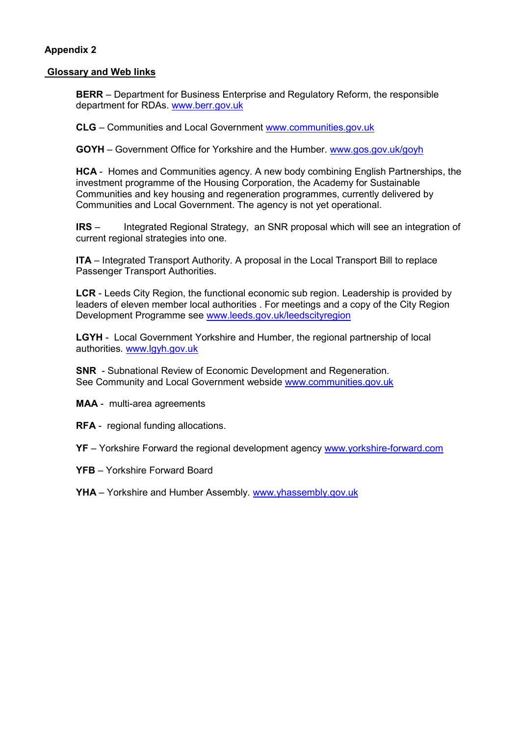### Appendix 2

### Glossary and Web links

BERR – Department for Business Enterprise and Regulatory Reform, the responsible department for RDAs. www.berr.gov.uk

CLG – Communities and Local Government www.communities.gov.uk

GOYH – Government Office for Yorkshire and the Humber. www.gos.gov.uk/goyh

HCA - Homes and Communities agency. A new body combining English Partnerships, the investment programme of the Housing Corporation, the Academy for Sustainable Communities and key housing and regeneration programmes, currently delivered by Communities and Local Government. The agency is not yet operational.

IRS – Integrated Regional Strategy, an SNR proposal which will see an integration of current regional strategies into one.

ITA – Integrated Transport Authority. A proposal in the Local Transport Bill to replace Passenger Transport Authorities.

LCR - Leeds City Region, the functional economic sub region. Leadership is provided by leaders of eleven member local authorities . For meetings and a copy of the City Region Development Programme see www.leeds.gov.uk/leedscityregion

LGYH - Local Government Yorkshire and Humber, the regional partnership of local authorities. www.lgyh.gov.uk

SNR - Subnational Review of Economic Development and Regeneration. See Community and Local Government webside www.communities.gov.uk

MAA - multi-area agreements

RFA - regional funding allocations.

YF – Yorkshire Forward the regional development agency www.yorkshire-forward.com

YFB – Yorkshire Forward Board

YHA – Yorkshire and Humber Assembly. www.yhassembly.gov.uk